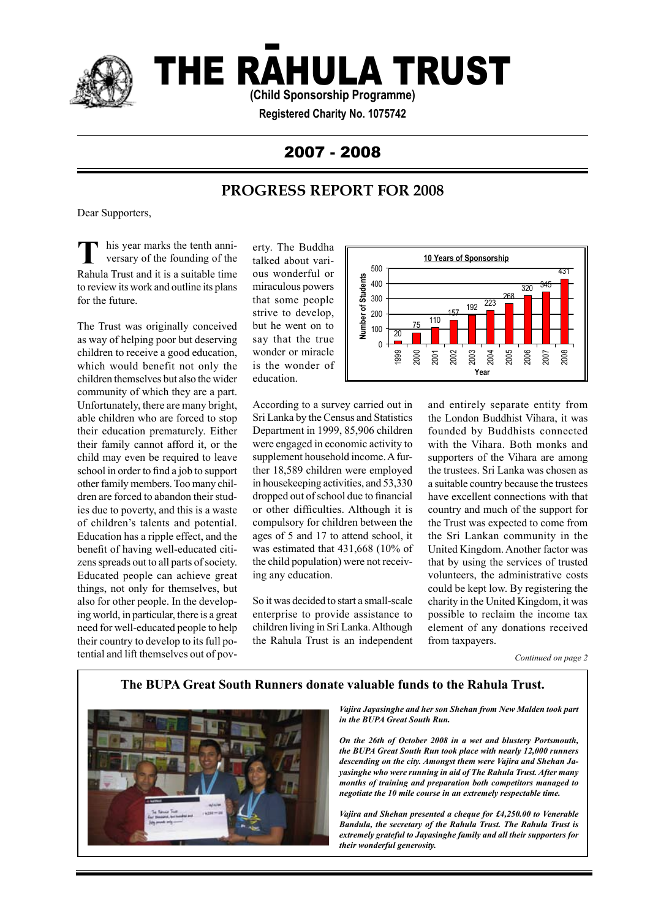

# THE RAHULA TRUST

**(Child Sponsorship Programme)**

**Registered Charity No. 1075742**

## 2007 - 2008

## **PROGRESS REPORT FOR 2008**

Dear Supporters,

**T** his year marks the tenth anniversary of the founding of the Rahula Trust and it is a suitable time to review its work and outline its plans for the future.

The Trust was originally conceived as way of helping poor but deserving children to receive a good education, which would benefit not only the children themselves but also the wider community of which they are a part. Unfortunately, there are many bright, able children who are forced to stop their education prematurely. Either their family cannot afford it, or the child may even be required to leave school in order to find a job to support other family members. Too many children are forced to abandon their studies due to poverty, and this is a waste of children's talents and potential. Education has a ripple effect, and the benefit of having well-educated citizens spreads out to all parts of society. Educated people can achieve great things, not only for themselves, but also for other people. In the developing world, in particular, there is a great need for well-educated people to help their country to develop to its full potential and lift themselves out of pov-

erty. The Buddha talked about various wonderful or miraculous powers that some people strive to develop, but he went on to say that the true wonder or miracle is the wonder of education.



According to a survey carried out in Sri Lanka by the Census and Statistics Department in 1999, 85,906 children were engaged in economic activity to supplement household income. A further 18,589 children were employed in housekeeping activities, and 53,330 dropped out of school due to financial or other difficulties. Although it is compulsory for children between the ages of 5 and 17 to attend school, it was estimated that 431,668 (10% of the child population) were not receiving any education.

So it was decided to start a small-scale enterprise to provide assistance to children living in Sri Lanka. Although the Rahula Trust is an independent

and entirely separate entity from the London Buddhist Vihara, it was founded by Buddhists connected with the Vihara. Both monks and supporters of the Vihara are among the trustees. Sri Lanka was chosen as a suitable country because the trustees have excellent connections with that country and much of the support for the Trust was expected to come from the Sri Lankan community in the United Kingdom. Another factor was that by using the services of trusted volunteers, the administrative costs could be kept low. By registering the charity in the United Kingdom, it was possible to reclaim the income tax element of any donations received from taxpayers.

*Continued on page 2*

### **The BUPA Great South Runners donate valuable funds to the Rahula Trust.**



*Vajira Jayasinghe and her son Shehan from New Malden took part in the BUPA Great South Run.* 

*On the 26th of October 2008 in a wet and blustery Portsmouth, the BUPA Great South Run took place with nearly 12,000 runners descending on the city. Amongst them were Vajira and Shehan Jayasinghe who were running in aid of The Rahula Trust. After many months of training and preparation both competitors managed to negotiate the 10 mile course in an extremely respectable time.*

*Vajira and Shehan presented a cheque for £4,250.00 to Venerable Bandula, the secretary of the Rahula Trust. The Rahula Trust is extremely grateful to Jayasinghe family and all their supporters for their wonderful generosity.*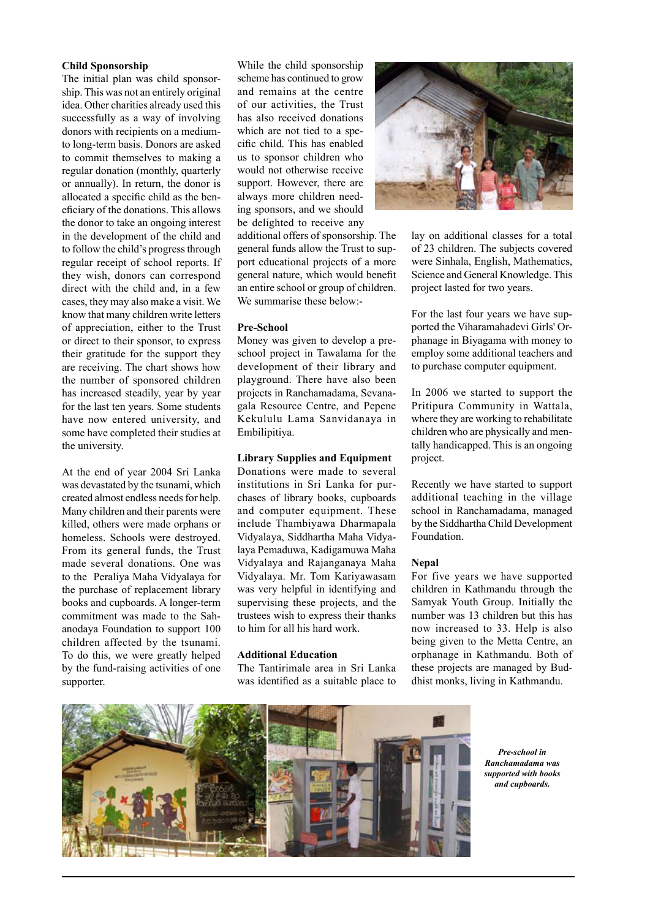#### **Child Sponsorship**

The initial plan was child sponsorship. This was not an entirely original idea. Other charities already used this successfully as a way of involving donors with recipients on a mediumto long-term basis. Donors are asked to commit themselves to making a regular donation (monthly, quarterly or annually). In return, the donor is allocated a specific child as the beneficiary of the donations. This allows the donor to take an ongoing interest in the development of the child and to follow the child's progress through regular receipt of school reports. If they wish, donors can correspond direct with the child and, in a few cases, they may also make a visit. We know that many children write letters of appreciation, either to the Trust or direct to their sponsor, to express their gratitude for the support they are receiving. The chart shows how the number of sponsored children has increased steadily, year by year for the last ten years. Some students have now entered university, and some have completed their studies at the university.

At the end of year 2004 Sri Lanka was devastated by the tsunami, which created almost endless needs for help. Many children and their parents were killed, others were made orphans or homeless. Schools were destroyed. From its general funds, the Trust made several donations. One was to the Peraliya Maha Vidyalaya for the purchase of replacement library books and cupboards. A longer-term commitment was made to the Sahanodaya Foundation to support 100 children affected by the tsunami. To do this, we were greatly helped by the fund-raising activities of one supporter.

While the child sponsorship scheme has continued to grow and remains at the centre of our activities, the Trust has also received donations which are not tied to a specific child. This has enabled us to sponsor children who would not otherwise receive support. However, there are always more children needing sponsors, and we should be delighted to receive any

additional offers of sponsorship. The general funds allow the Trust to support educational projects of a more general nature, which would benefit an entire school or group of children. We summarise these below:-

#### **Pre-School**

Money was given to develop a preschool project in Tawalama for the development of their library and playground. There have also been projects in Ranchamadama, Sevanagala Resource Centre, and Pepene Kekululu Lama Sanvidanaya in Embilipitiya.

#### **Library Supplies and Equipment**

Donations were made to several institutions in Sri Lanka for purchases of library books, cupboards and computer equipment. These include Thambiyawa Dharmapala Vidyalaya, Siddhartha Maha Vidyalaya Pemaduwa, Kadigamuwa Maha Vidyalaya and Rajanganaya Maha Vidyalaya. Mr. Tom Kariyawasam was very helpful in identifying and supervising these projects, and the trustees wish to express their thanks to him for all his hard work.

#### **Additional Education**

The Tantirimale area in Sri Lanka was identified as a suitable place to



lay on additional classes for a total of 23 children. The subjects covered were Sinhala, English, Mathematics, Science and General Knowledge. This project lasted for two years.

For the last four years we have supported the Viharamahadevi Girls' Orphanage in Biyagama with money to employ some additional teachers and to purchase computer equipment.

In 2006 we started to support the Pritipura Community in Wattala, where they are working to rehabilitate children who are physically and mentally handicapped. This is an ongoing project.

Recently we have started to support additional teaching in the village school in Ranchamadama, managed by the Siddhartha Child Development Foundation.

#### **Nepal**

For five years we have supported children in Kathmandu through the Samyak Youth Group. Initially the number was 13 children but this has now increased to 33. Help is also being given to the Metta Centre, an orphanage in Kathmandu. Both of these projects are managed by Buddhist monks, living in Kathmandu.



*Pre-school in Ranchamadama was supported with books and cupboards.*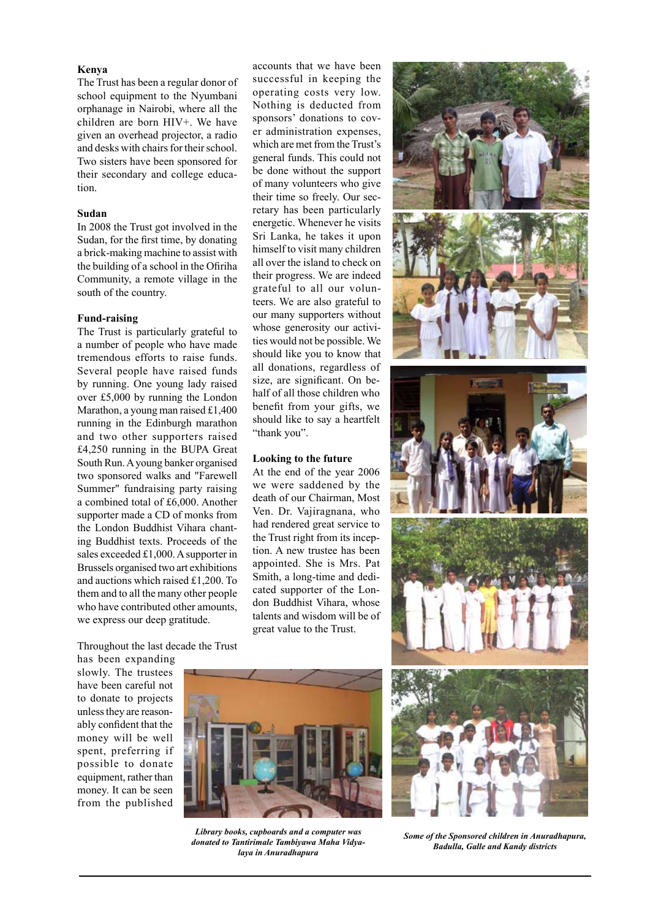#### **Kenya**

The Trust has been a regular donor of school equipment to the Nyumbani orphanage in Nairobi, where all the children are born HIV+. We have given an overhead projector, a radio and desks with chairs for their school. Two sisters have been sponsored for their secondary and college education.

#### **Sudan**

In 2008 the Trust got involved in the Sudan, for the first time, by donating a brick-making machine to assist with the building of a school in the Ofiriha Community, a remote village in the south of the country.

#### **Fund-raising**

The Trust is particularly grateful to a number of people who have made tremendous efforts to raise funds. Several people have raised funds by running. One young lady raised over £5,000 by running the London Marathon, a young man raised £1,400 running in the Edinburgh marathon and two other supporters raised £4,250 running in the BUPA Great South Run. A young banker organised two sponsored walks and "Farewell Summer" fundraising party raising a combined total of £6,000. Another supporter made a CD of monks from the London Buddhist Vihara chanting Buddhist texts. Proceeds of the sales exceeded £1,000. A supporter in Brussels organised two art exhibitions and auctions which raised £1,200. To them and to all the many other people who have contributed other amounts, we express our deep gratitude.

accounts that we have been successful in keeping the operating costs very low. Nothing is deducted from sponsors' donations to cover administration expenses, which are met from the Trust's general funds. This could not be done without the support of many volunteers who give their time so freely. Our secretary has been particularly energetic. Whenever he visits Sri Lanka, he takes it upon himself to visit many children all over the island to check on their progress. We are indeed grateful to all our volunteers. We are also grateful to our many supporters without whose generosity our activities would not be possible. We should like you to know that all donations, regardless of size, are significant. On behalf of all those children who benefit from your gifts, we should like to say a heartfelt "thank you".

#### **Looking to the future**

At the end of the year 2006 we were saddened by the death of our Chairman, Most Ven. Dr. Vajiragnana, who had rendered great service to the Trust right from its inception. A new trustee has been appointed. She is Mrs. Pat Smith, a long-time and dedicated supporter of the London Buddhist Vihara, whose talents and wisdom will be of great value to the Trust.

Throughout the last decade the Trust

has been expanding slowly. The trustees have been careful not to donate to projects unless they are reasonably confident that the money will be well spent, preferring if possible to donate equipment, rather than money. It can be seen from the published



*Library books, cupboards and a computer was donated to Tantirimale Tambiyawa Maha Vidyalaya in Anuradhapura* 



*Some of the Sponsored children in Anuradhapura, Badulla, Galle and Kandy districts*